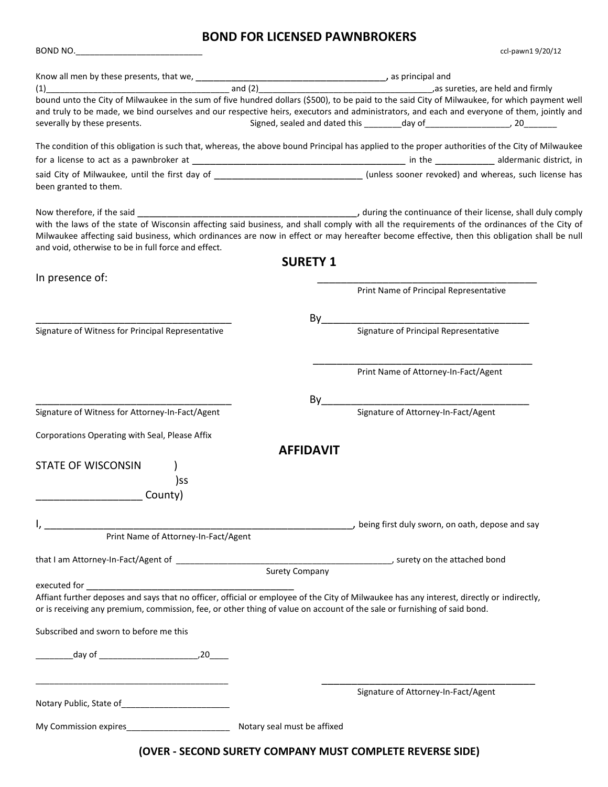## **BOND FOR LICENSED PAWNBROKERS**

BOND NO.\_\_\_\_\_\_\_\_\_\_\_\_\_\_\_\_\_\_\_\_\_\_\_\_\_\_\_ ccl-pawn1 9/20/12

| $(1)$ and $(2)$                                     | as sureties, are held and firmly measured and firmly                                                                                                                                                                                                                                        |
|-----------------------------------------------------|---------------------------------------------------------------------------------------------------------------------------------------------------------------------------------------------------------------------------------------------------------------------------------------------|
| severally by these presents.                        | bound unto the City of Milwaukee in the sum of five hundred dollars (\$500), to be paid to the said City of Milwaukee, for which payment well<br>and truly to be made, we bind ourselves and our respective heirs, executors and administrators, and each and everyone of them, jointly and |
|                                                     |                                                                                                                                                                                                                                                                                             |
|                                                     | The condition of this obligation is such that, whereas, the above bound Principal has applied to the proper authorities of the City of Milwaukee                                                                                                                                            |
|                                                     |                                                                                                                                                                                                                                                                                             |
| been granted to them.                               | said City of Milwaukee, until the first day of __________________________________ (unless sooner revoked) and whereas, such license has                                                                                                                                                     |
|                                                     |                                                                                                                                                                                                                                                                                             |
| and void, otherwise to be in full force and effect. | with the laws of the state of Wisconsin affecting said business, and shall comply with all the requirements of the ordinances of the City of<br>Milwaukee affecting said business, which ordinances are now in effect or may hereafter become effective, then this obligation shall be null |
|                                                     | <b>SURETY 1</b>                                                                                                                                                                                                                                                                             |
| In presence of:                                     |                                                                                                                                                                                                                                                                                             |
|                                                     | Print Name of Principal Representative                                                                                                                                                                                                                                                      |
|                                                     |                                                                                                                                                                                                                                                                                             |
| Signature of Witness for Principal Representative   | By<br>Signature of Principal Representative                                                                                                                                                                                                                                                 |
|                                                     |                                                                                                                                                                                                                                                                                             |
|                                                     |                                                                                                                                                                                                                                                                                             |
|                                                     | Print Name of Attorney-In-Fact/Agent                                                                                                                                                                                                                                                        |
|                                                     |                                                                                                                                                                                                                                                                                             |
| Signature of Witness for Attorney-In-Fact/Agent     | By<br>Signature of Attorney-In-Fact/Agent                                                                                                                                                                                                                                                   |
|                                                     |                                                                                                                                                                                                                                                                                             |
| Corporations Operating with Seal, Please Affix      |                                                                                                                                                                                                                                                                                             |
|                                                     | <b>AFFIDAVIT</b>                                                                                                                                                                                                                                                                            |
| <b>STATE OF WISCONSIN</b>                           |                                                                                                                                                                                                                                                                                             |
| )ss                                                 |                                                                                                                                                                                                                                                                                             |
| County)                                             |                                                                                                                                                                                                                                                                                             |
|                                                     |                                                                                                                                                                                                                                                                                             |
| Print Name of Attorney-In-Fact/Agent                | , being first duly sworn, on oath, depose and say                                                                                                                                                                                                                                           |
|                                                     |                                                                                                                                                                                                                                                                                             |
|                                                     |                                                                                                                                                                                                                                                                                             |
| executed for                                        | <b>Surety Company</b>                                                                                                                                                                                                                                                                       |
|                                                     | Affiant further deposes and says that no officer, official or employee of the City of Milwaukee has any interest, directly or indirectly,<br>or is receiving any premium, commission, fee, or other thing of value on account of the sale or furnishing of said bond.                       |
| Subscribed and sworn to before me this              |                                                                                                                                                                                                                                                                                             |
|                                                     |                                                                                                                                                                                                                                                                                             |
|                                                     | Signature of Attorney-In-Fact/Agent                                                                                                                                                                                                                                                         |
| My Commission expires__________________             | Notary seal must be affixed                                                                                                                                                                                                                                                                 |
|                                                     |                                                                                                                                                                                                                                                                                             |
|                                                     | <u>IOVER - SECOND SURETY COMPANY MUST COMPLETE REVERSE SIDE)</u>                                                                                                                                                                                                                            |

**(OVER - SECOND SURETY COMPANY MUST COMPLETE REVERSE SIDE)**